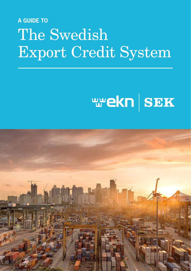# **A GUIDE TO** The Swedish Export Credit System

# **WEKN SEK**

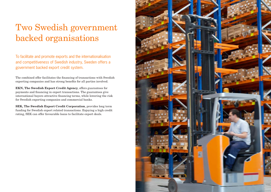# Two Swedish government backed organisations

To facilitate and promote exports and the internationalisation and competitiveness of Swedish industry, Sweden offers a government backed export credit system.

The combined offer facilitates the financing of transactions with Swedish exporting companies and has strong benefits for all parties involved.

EKN, The Swedish Export Credit Agency, offers guarantees for payments and financing in export transactions. The guarantees give international buyers attractive financing terms, while lowering the risk for Swedish exporting companies and commercial banks.

SEK, The Swedish Export Credit Corporation, provides long term funding for Swedish export related transactions. Enjoying a high credit rating, SEK can offer favourable loans to facilitate export deals.

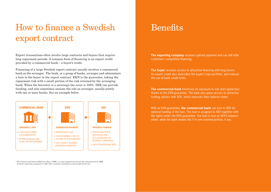## How to finance a Swedish export contract

Export transactions often involve large contracts and buyers that require long repayment periods. A common form of financing is an export credit provided by a commercial bank – a buyer's credit.

Financing of a large Swedish export contract usually involves a commercial bank as the arranger. The bank, or a group of banks, arranges and administers a loan to the buyer in the export contract. EKN is the guarantor, taking the repayment risk with a small portion of the risk retained by the arranging bank. When the borrower is a sovereign the cover is 100%. SEK can provide funding, and also sometimes assume the role as arranger, usually jointly with one or more banks. See an example below.



*\* The Commercial Interest Reference Rate, CIRR, is a state-supported interest rate administered by SEK. It allows exporting companies to offer their customers funding at a favourable fixed rate.* 

#### **Benefits**

**The exporting company** receives upfront payment and can still offer customers competitive financing.

**The buyer** receives access to attractive financing with long tenors. An export credit also diversifies the buyer's loan portfolio, and reduces the use of bank credit limits.

**The commercial bank** minimises its exposure to risk and capital loss thanks to the EKN guarantee. The bank also gains access to attractive funding options with SEK, which improves their balance sheet.

With an EKN guarantee, **the commercial bank** can turn to SEK for optional funding of the loan. The loan is assigned to SEK together with the rights under the EKN guarantee. The loan is now on SEK's balance sheet, while the bank retains the 5 % non-covered portion, if any.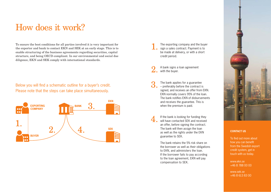### How does it work?

To ensure the best conditions for all parties involved it is very important for the exporter and bank to contact EKN and SEK at an early stage. This is to enable structuring of the business agreements regarding securities, capital structure, and being OECD-compliant. In our environmental and social due diligence, EKN and SEK comply with international standards.

Below you will find a schematic outline for a buyer's credit. Please note that the steps can take place simultaneously.



The exporting company and the buyer sign a sales contract. Payment is to be made at delivery, or with a short credit period.

A bank signs a loan agreement  $\Delta$ . with the buver.

The bank applies for a guarantee – preferably before the contract is signed, and receives an offer from EKN. EKN normally covers 95% of the loan. The bank notifies EKN of disbursements and receives the guarantee. This is when the premium is paid.

If the bank is looking for funding they  $\pm$  will have contacted SEK and received an offer, before signing the contract. The bank will then assign the loan as well as the rights under the EKN guarantee to SEK.

> The bank retains the 5% risk share on the borrower as well as their obligations to EKN, and administers the loan. If the borrower fails to pay according to the loan agreement, EKN will pay compensation to SEK.



#### **CONTACT US**

To find out more about how you can benefit from the Swedish export credit system, get in touch with us today.

www.ekn.se +46 8 788 00 00

www.sek.se +46 8 613 83 00